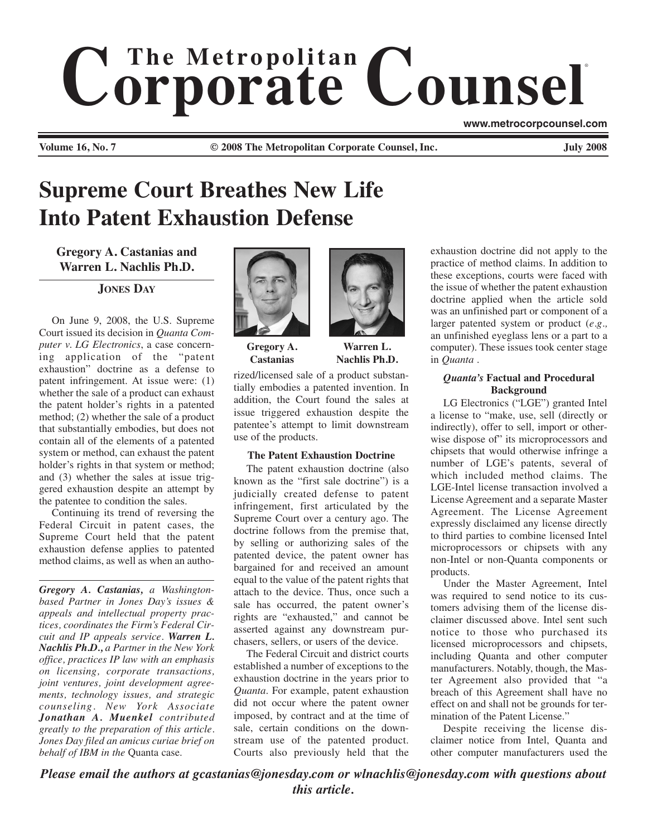# $$ ® **www.metrocorpcounsel.com**

**Volume 16, No. 7 © 2008 The Metropolitan Corporate Counsel, Inc. July 2008**

# **Supreme Court Breathes New Life Into Patent Exhaustion Defense**

**Gregory A. Castanias and Warren L. Nachlis Ph.D.**

**JONES DAY**

On June 9, 2008, the U.S. Supreme Court issued its decision in *Quanta Computer v. LG Electronics*, a case concerning application of the "patent exhaustion" doctrine as a defense to patent infringement. At issue were: (1) whether the sale of a product can exhaust the patent holder's rights in a patented method; (2) whether the sale of a product that substantially embodies, but does not contain all of the elements of a patented system or method, can exhaust the patent holder's rights in that system or method; and (3) whether the sales at issue triggered exhaustion despite an attempt by the patentee to condition the sales.

Continuing its trend of reversing the Federal Circuit in patent cases, the Supreme Court held that the patent exhaustion defense applies to patented method claims, as well as when an autho-

*Gregory A. Castanias, a Washingtonbased Partner in Jones Day's issues & appeals and intellectual property practices, coordinates the Firm's Federal Circuit and IP appeals service. Warren L. Nachlis Ph.D., a Partner in the New York office, practices IP law with an emphasis on licensing, corporate transactions, joint ventures, joint development agreements, technology issues, and strategic counseling. New York Associate Jonathan A. Muenkel contributed greatly to the preparation of this article. Jones Day filed an amicus curiae brief on behalf of IBM in the* Quanta case.



**Gregory A. Castanias**

**Warren L. Nachlis Ph.D.**

rized/licensed sale of a product substantially embodies a patented invention. In addition, the Court found the sales at issue triggered exhaustion despite the patentee's attempt to limit downstream use of the products.

### **The Patent Exhaustion Doctrine**

The patent exhaustion doctrine (also known as the "first sale doctrine") is a judicially created defense to patent infringement, first articulated by the Supreme Court over a century ago. The doctrine follows from the premise that, by selling or authorizing sales of the patented device, the patent owner has bargained for and received an amount equal to the value of the patent rights that attach to the device. Thus, once such a sale has occurred, the patent owner's rights are "exhausted," and cannot be asserted against any downstream purchasers, sellers, or users of the device.

The Federal Circuit and district courts established a number of exceptions to the exhaustion doctrine in the years prior to *Quanta*. For example, patent exhaustion did not occur where the patent owner imposed, by contract and at the time of sale, certain conditions on the downstream use of the patented product. Courts also previously held that the

exhaustion doctrine did not apply to the practice of method claims. In addition to these exceptions, courts were faced with the issue of whether the patent exhaustion doctrine applied when the article sold was an unfinished part or component of a larger patented system or product (*e.g.,* an unfinished eyeglass lens or a part to a computer). These issues took center stage in *Quanta* .

## *Quanta's* **Factual and Procedural Background**

LG Electronics ("LGE") granted Intel a license to "make, use, sell (directly or indirectly), offer to sell, import or otherwise dispose of" its microprocessors and chipsets that would otherwise infringe a number of LGE's patents, several of which included method claims. The LGE-Intel license transaction involved a License Agreement and a separate Master Agreement. The License Agreement expressly disclaimed any license directly to third parties to combine licensed Intel microprocessors or chipsets with any non-Intel or non-Quanta components or products.

Under the Master Agreement, Intel was required to send notice to its customers advising them of the license disclaimer discussed above. Intel sent such notice to those who purchased its licensed microprocessors and chipsets, including Quanta and other computer manufacturers. Notably, though, the Master Agreement also provided that "a breach of this Agreement shall have no effect on and shall not be grounds for termination of the Patent License."

Despite receiving the license disclaimer notice from Intel, Quanta and other computer manufacturers used the

*Please email the authors at gcastanias@jonesday.com or wlnachlis@jonesday.com with questions about this article.*